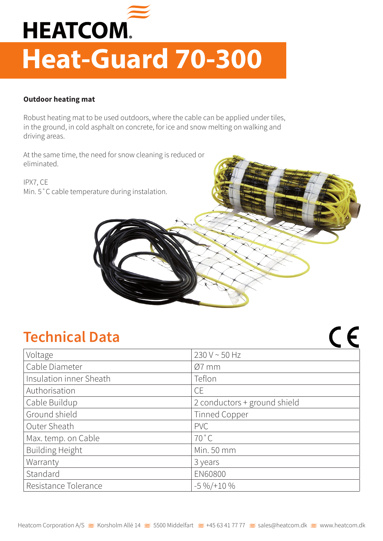

## **Heat-Guard 70-300**

## **Outdoor heating mat**

Robust heating mat to be used outdoors, where the cable can be applied under tiles, in the ground, in cold asphalt on concrete, for ice and snow melting on walking and driving areas.

At the same time, the need for snow cleaning is reduced or eliminated.

IPX7, CE Min. 5˚C cable temperature during instalation.

## **Technical Data**

| Voltage                 | 230 V ~ 50 Hz                |
|-------------------------|------------------------------|
| Cable Diameter          | $Ø7$ mm                      |
| Insulation inner Sheath | Teflon                       |
| Authorisation           | <b>CE</b>                    |
| Cable Buildup           | 2 conductors + ground shield |
| Ground shield           | <b>Tinned Copper</b>         |
| Outer Sheath            | <b>PVC</b>                   |
| Max. temp. on Cable     | $70^{\circ}$ C               |
| <b>Building Height</b>  | Min. 50 mm                   |
| Warranty                | 3 years                      |
| Standard                | <b>EN60800</b>               |
| Resistance Tolerance    | $-5\frac{9}{6}$ /+10 %       |

 $C$